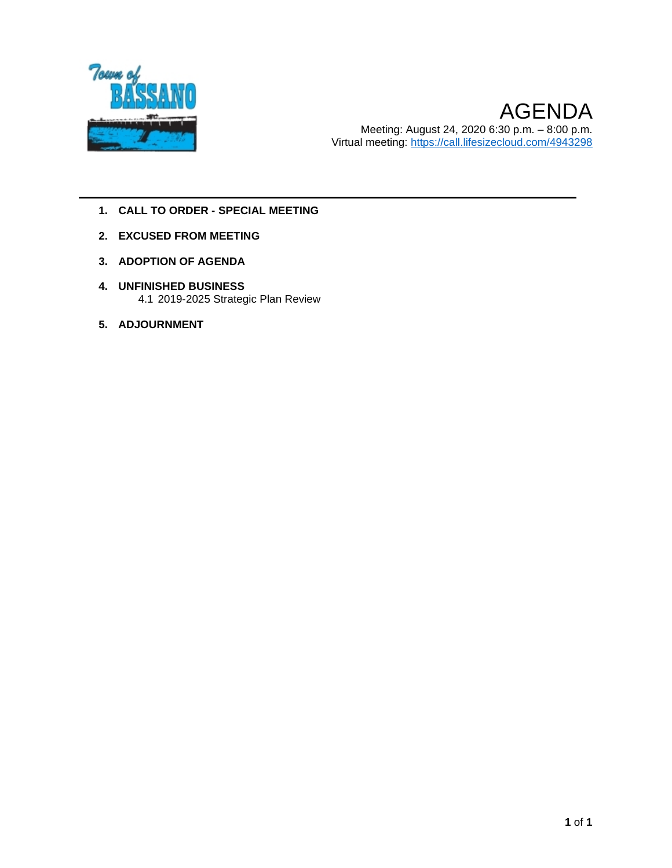

- **1. CALL TO ORDER - SPECIAL MEETING**
- **2. EXCUSED FROM MEETING**
- **3. ADOPTION OF AGENDA**
- **4. UNFINISHED BUSINESS** 4.1 2019-2025 Strategic Plan Review
- **5. ADJOURNMENT**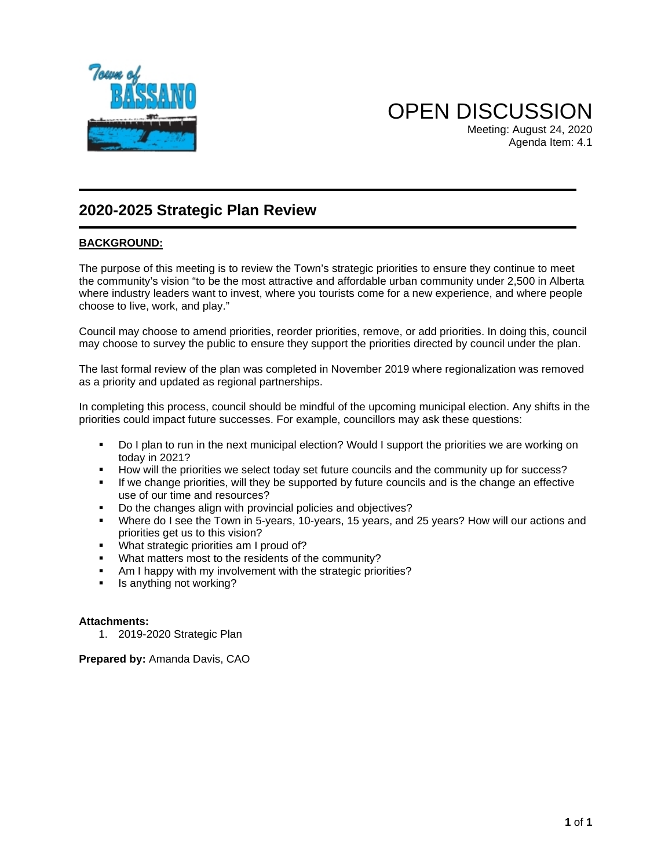

OPEN DISCUSSION Meeting: August 24, 2020 Agenda Item: 4.1

#### **2020-2025 Strategic Plan Review**

#### **BACKGROUND:**

The purpose of this meeting is to review the Town's strategic priorities to ensure they continue to meet the community's vision "to be the most attractive and affordable urban community under 2,500 in Alberta where industry leaders want to invest, where you tourists come for a new experience, and where people choose to live, work, and play."

Council may choose to amend priorities, reorder priorities, remove, or add priorities. In doing this, council may choose to survey the public to ensure they support the priorities directed by council under the plan.

The last formal review of the plan was completed in November 2019 where regionalization was removed as a priority and updated as regional partnerships.

In completing this process, council should be mindful of the upcoming municipal election. Any shifts in the priorities could impact future successes. For example, councillors may ask these questions:

- Do I plan to run in the next municipal election? Would I support the priorities we are working on today in 2021?
- How will the priorities we select today set future councils and the community up for success?
- If we change priorities, will they be supported by future councils and is the change an effective use of our time and resources?
- Do the changes align with provincial policies and objectives?<br>• Where do I see the Town in 5-years 10-years 15 years and
- Where do I see the Town in 5-years, 10-years, 15 years, and 25 years? How will our actions and priorities get us to this vision?
- **What strategic priorities am I proud of?**
- What matters most to the residents of the community?
- Am I happy with my involvement with the strategic priorities?
- **I** Is anything not working?

#### **Attachments:**

1. 2019-2020 Strategic Plan

**Prepared by:** Amanda Davis, CAO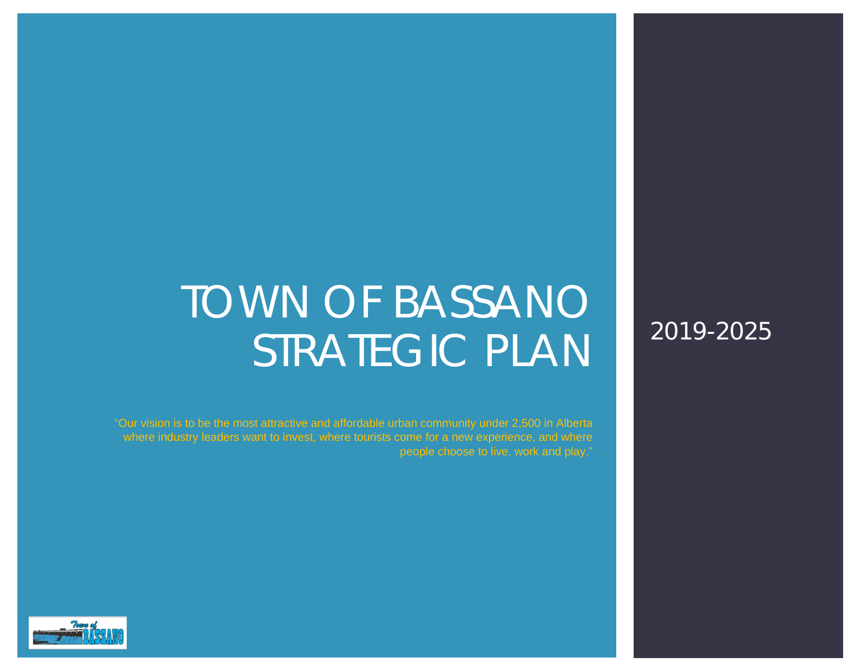# TOWN OF BASSANO STRATEGIC PLAN

2019-2025

"Our vision is to be the most attractive and affordable urban community under 2,500 in Alberta where industry leaders want to invest, where tourists come for a new experience, and where

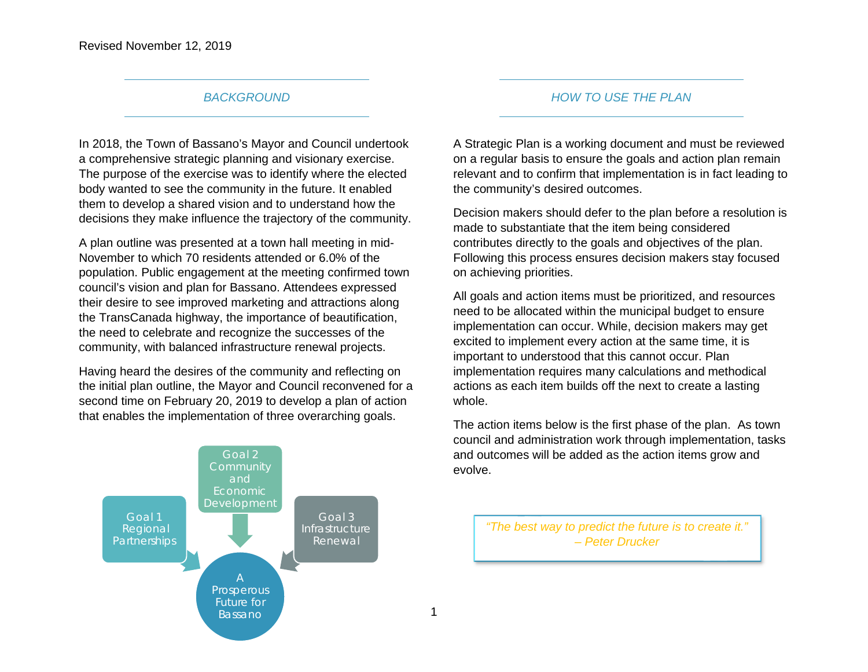#### *BACKGROUND*

In 2018, the Town of Bassano's Mayor and Council undertook a comprehensive strategic planning and visionary exercise. The purpose of the exercise was to identify where the elected body wanted to see the community in the future. It enabled them to develop a shared vision and to understand how the decisions they make influence the trajectory of the community.

A plan outline was presented at a town hall meeting in mid-November to which 70 residents attended or 6.0% of the population. Public engagement at the meeting confirmed town council's vision and plan for Bassano. Attendees expressed their desire to see improved marketing and attractions along the TransCanada highway, the importance of beautification, the need to celebrate and recognize the successes of the community, with balanced infrastructure renewal projects.

Having heard the desires of the community and reflecting on the initial plan outline, the Mayor and Council reconvened for a second time on February 20, 2019 to develop a plan of action that enables the implementation of three overarching goals.



#### *HOW TO USE THE PLAN*

A Strategic Plan is a working document and must be reviewed on a regular basis to ensure the goals and action plan remain relevant and to confirm that implementation is in fact leading to the community's desired outcomes.

Decision makers should defer to the plan before a resolution is made to substantiate that the item being considered contributes directly to the goals and objectives of the plan. Following this process ensures decision makers stay focused on achieving priorities.

All goals and action items must be prioritized, and resources need to be allocated within the municipal budget to ensure implementation can occur. While, decision makers may get excited to implement every action at the same time, it is important to understood that this cannot occur. Plan implementation requires many calculations and methodical actions as each item builds off the next to create a lasting whole.

The action items below is the first phase of the plan. As town council and administration work through implementation, tasks and outcomes will be added as the action items grow and evolve.

*"The best way to predict the future is to create it." – Peter Drucker*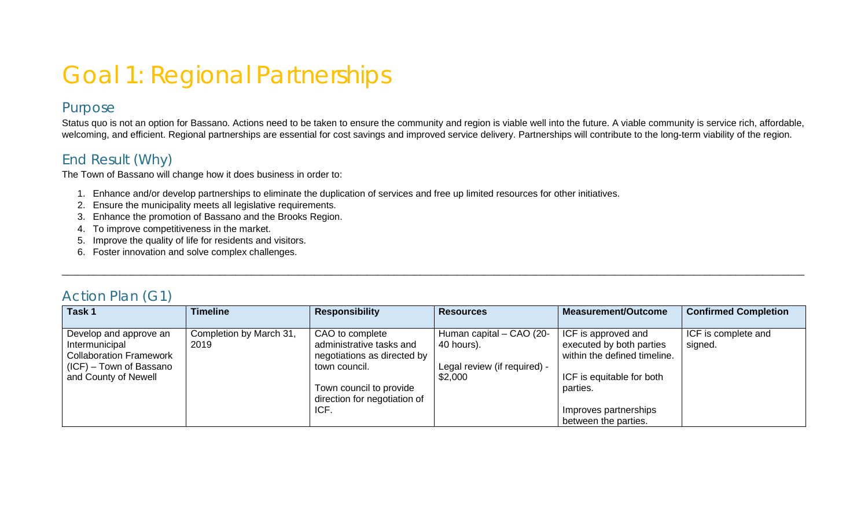## Goal 1: Regional Partnerships

#### Purpose

Status quo is not an option for Bassano. Actions need to be taken to ensure the community and region is viable well into the future. A viable community is service rich, affordable, welcoming, and efficient. Regional partnerships are essential for cost savings and improved service delivery. Partnerships will contribute to the long-term viability of the region.

#### End Result (Why)

The Town of Bassano will change how it does business in order to:

- 1. Enhance and/or develop partnerships to eliminate the duplication of services and free up limited resources for other initiatives.
- 2. Ensure the municipality meets all legislative requirements.
- 3. Enhance the promotion of Bassano and the Brooks Region.
- 4. To improve competitiveness in the market.
- 5. Improve the quality of life for residents and visitors.
- 6. Foster innovation and solve complex challenges.

| ACTION PIAN (GT                |                         |                              |                              |                              |                             |  |  |
|--------------------------------|-------------------------|------------------------------|------------------------------|------------------------------|-----------------------------|--|--|
| Task 1                         | <b>Timeline</b>         | <b>Responsibility</b>        | <b>Resources</b>             | <b>Measurement/Outcome</b>   | <b>Confirmed Completion</b> |  |  |
|                                |                         |                              |                              |                              |                             |  |  |
| Develop and approve an         | Completion by March 31, | CAO to complete              | Human capital - CAO (20-     | ICF is approved and          | ICF is complete and         |  |  |
| Intermunicipal                 | 2019                    | administrative tasks and     | 40 hours).                   | executed by both parties     | signed.                     |  |  |
| <b>Collaboration Framework</b> |                         | negotiations as directed by  |                              | within the defined timeline. |                             |  |  |
| $(ICF)$ – Town of Bassano      |                         | town council.                | Legal review (if required) - |                              |                             |  |  |
| and County of Newell           |                         |                              | \$2,000                      | ICF is equitable for both    |                             |  |  |
|                                |                         | Town council to provide      |                              | parties.                     |                             |  |  |
|                                |                         | direction for negotiation of |                              |                              |                             |  |  |
|                                |                         | ICF.                         |                              | Improves partnerships        |                             |  |  |
|                                |                         |                              |                              | between the parties.         |                             |  |  |

\_\_\_\_\_\_\_\_\_\_\_\_\_\_\_\_\_\_\_\_\_\_\_\_\_\_\_\_\_\_\_\_\_\_\_\_\_\_\_\_\_\_\_\_\_\_\_\_\_\_\_\_\_\_\_\_\_\_\_\_\_\_\_\_\_\_\_\_\_\_\_\_\_\_\_\_\_\_\_\_\_\_\_\_\_\_\_\_\_\_\_\_\_\_\_\_\_\_\_\_\_\_\_\_\_\_\_\_\_\_\_\_\_\_\_\_\_\_\_\_\_\_\_\_\_\_\_\_\_\_\_\_\_\_\_\_\_\_\_\_\_

#### Action Plan (G1)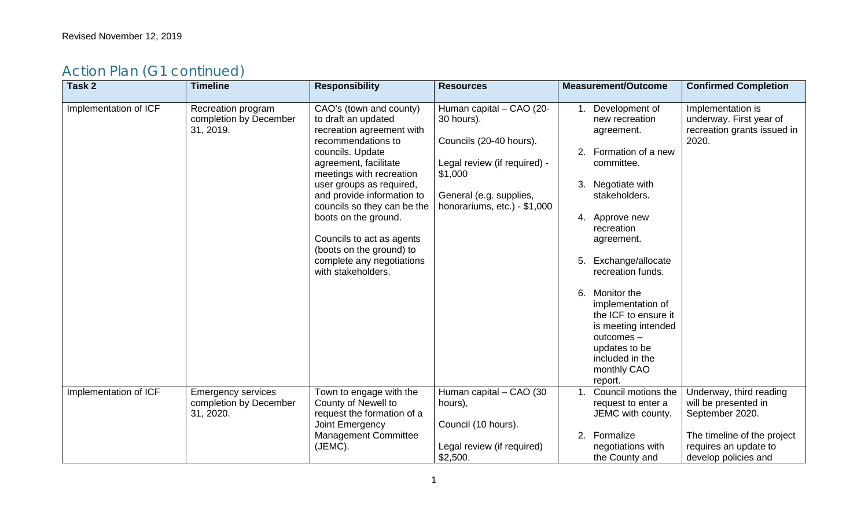| Task 2                | <b>Timeline</b>                                                  | <b>Responsibility</b>                                                                                                                                                                                                                                                                                                                                                                                   | <b>Resources</b>                                                                                                                                                        | <b>Measurement/Outcome</b>                                                                                                                                                                                                                                                                                                                                                                          | <b>Confirmed Completion</b>                                                                                                                        |
|-----------------------|------------------------------------------------------------------|---------------------------------------------------------------------------------------------------------------------------------------------------------------------------------------------------------------------------------------------------------------------------------------------------------------------------------------------------------------------------------------------------------|-------------------------------------------------------------------------------------------------------------------------------------------------------------------------|-----------------------------------------------------------------------------------------------------------------------------------------------------------------------------------------------------------------------------------------------------------------------------------------------------------------------------------------------------------------------------------------------------|----------------------------------------------------------------------------------------------------------------------------------------------------|
| Implementation of ICF | Recreation program<br>completion by December<br>31, 2019.        | CAO's (town and county)<br>to draft an updated<br>recreation agreement with<br>recommendations to<br>councils. Update<br>agreement, facilitate<br>meetings with recreation<br>user groups as required,<br>and provide information to<br>councils so they can be the<br>boots on the ground.<br>Councils to act as agents<br>(boots on the ground) to<br>complete any negotiations<br>with stakeholders. | Human capital - CAO (20-<br>30 hours).<br>Councils (20-40 hours).<br>Legal review (if required) -<br>\$1,000<br>General (e.g. supplies,<br>honorariums, etc.) - \$1,000 | Development of<br>1.<br>new recreation<br>agreement.<br>Formation of a new<br>committee.<br>Negotiate with<br>3.<br>stakeholders.<br>4. Approve new<br>recreation<br>agreement.<br>Exchange/allocate<br>5.<br>recreation funds.<br>Monitor the<br>6.<br>implementation of<br>the ICF to ensure it<br>is meeting intended<br>outcomes-<br>updates to be<br>included in the<br>monthly CAO<br>report. | Implementation is<br>underway. First year of<br>recreation grants issued in<br>2020.                                                               |
| Implementation of ICF | <b>Emergency services</b><br>completion by December<br>31, 2020. | Town to engage with the<br>County of Newell to<br>request the formation of a<br>Joint Emergency<br><b>Management Committee</b><br>(JEMC).                                                                                                                                                                                                                                                               | Human capital - CAO (30<br>hours),<br>Council (10 hours).<br>Legal review (if required)<br>\$2,500.                                                                     | Council motions the<br>1 <sup>1</sup><br>request to enter a<br>JEMC with county.<br>Formalize<br>2.<br>negotiations with<br>the County and                                                                                                                                                                                                                                                          | Underway, third reading<br>will be presented in<br>September 2020.<br>The timeline of the project<br>requires an update to<br>develop policies and |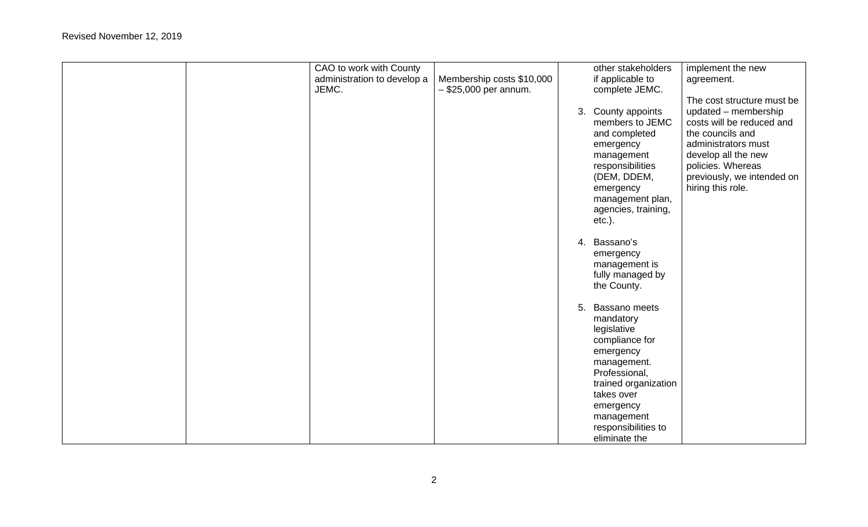|  | CAO to work with County     |                           | other stakeholders   | implement the new          |
|--|-----------------------------|---------------------------|----------------------|----------------------------|
|  | administration to develop a | Membership costs \$10,000 | if applicable to     | agreement.                 |
|  | JEMC.                       | $-$ \$25,000 per annum.   | complete JEMC.       |                            |
|  |                             |                           |                      | The cost structure must be |
|  |                             |                           |                      |                            |
|  |                             |                           | 3. County appoints   | updated - membership       |
|  |                             |                           | members to JEMC      | costs will be reduced and  |
|  |                             |                           | and completed        | the councils and           |
|  |                             |                           | emergency            | administrators must        |
|  |                             |                           | management           | develop all the new        |
|  |                             |                           | responsibilities     | policies. Whereas          |
|  |                             |                           | (DEM, DDEM,          | previously, we intended on |
|  |                             |                           | emergency            | hiring this role.          |
|  |                             |                           | management plan,     |                            |
|  |                             |                           | agencies, training,  |                            |
|  |                             |                           | $etc.$ ).            |                            |
|  |                             |                           |                      |                            |
|  |                             |                           | 4. Bassano's         |                            |
|  |                             |                           | emergency            |                            |
|  |                             |                           | management is        |                            |
|  |                             |                           | fully managed by     |                            |
|  |                             |                           | the County.          |                            |
|  |                             |                           | 5. Bassano meets     |                            |
|  |                             |                           |                      |                            |
|  |                             |                           | mandatory            |                            |
|  |                             |                           | legislative          |                            |
|  |                             |                           | compliance for       |                            |
|  |                             |                           | emergency            |                            |
|  |                             |                           | management.          |                            |
|  |                             |                           | Professional,        |                            |
|  |                             |                           | trained organization |                            |
|  |                             |                           | takes over           |                            |
|  |                             |                           | emergency            |                            |
|  |                             |                           | management           |                            |
|  |                             |                           | responsibilities to  |                            |
|  |                             |                           | eliminate the        |                            |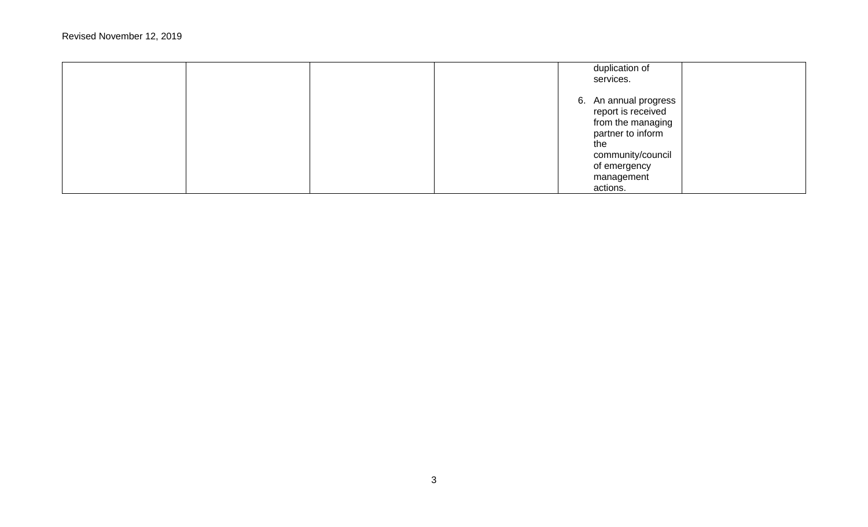|  |  | duplication of<br>services.                                                                                                                                 |  |
|--|--|-------------------------------------------------------------------------------------------------------------------------------------------------------------|--|
|  |  | 6. An annual progress<br>report is received<br>from the managing<br>partner to inform<br>the<br>community/council<br>of emergency<br>management<br>actions. |  |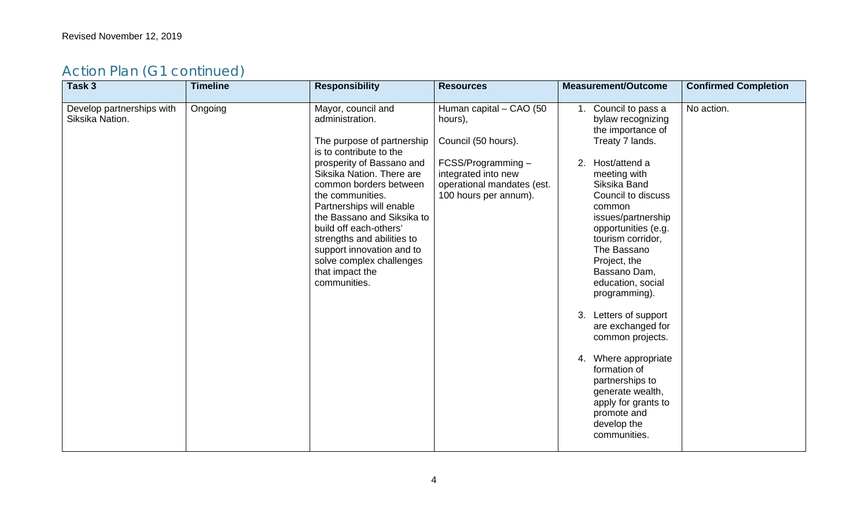| Human capital - CAO (50<br>No action.<br>Develop partnerships with<br>Mayor, council and<br>Ongoing<br>1. Council to pass a<br>Siksika Nation.<br>administration.<br>bylaw recognizing<br>hours),<br>the importance of<br>Council (50 hours).<br>The purpose of partnership<br>Treaty 7 lands.<br>is to contribute to the<br>2. Host/attend a<br>prosperity of Bassano and<br>FCSS/Programming-<br>Siksika Nation. There are<br>integrated into new<br>meeting with<br>common borders between<br>operational mandates (est.<br>Siksika Band<br>Council to discuss<br>the communities.<br>100 hours per annum).<br>Partnerships will enable<br>common<br>the Bassano and Siksika to<br>issues/partnership<br>build off each-others'<br>opportunities (e.g.<br>strengths and abilities to<br>tourism corridor,<br>The Bassano<br>support innovation and to<br>solve complex challenges<br>Project, the<br>that impact the<br>Bassano Dam,<br>communities.<br>education, social<br>programming).<br>3. Letters of support<br>are exchanged for<br>common projects.<br>4. Where appropriate<br>formation of<br>partnerships to<br>generate wealth,<br>apply for grants to<br>promote and | Task 3 | <b>Timeline</b> | <b>Responsibility</b> | <b>Resources</b> | <b>Measurement/Outcome</b> | <b>Confirmed Completion</b> |
|--------------------------------------------------------------------------------------------------------------------------------------------------------------------------------------------------------------------------------------------------------------------------------------------------------------------------------------------------------------------------------------------------------------------------------------------------------------------------------------------------------------------------------------------------------------------------------------------------------------------------------------------------------------------------------------------------------------------------------------------------------------------------------------------------------------------------------------------------------------------------------------------------------------------------------------------------------------------------------------------------------------------------------------------------------------------------------------------------------------------------------------------------------------------------------------|--------|-----------------|-----------------------|------------------|----------------------------|-----------------------------|
| communities.                                                                                                                                                                                                                                                                                                                                                                                                                                                                                                                                                                                                                                                                                                                                                                                                                                                                                                                                                                                                                                                                                                                                                                         |        |                 |                       |                  | develop the                |                             |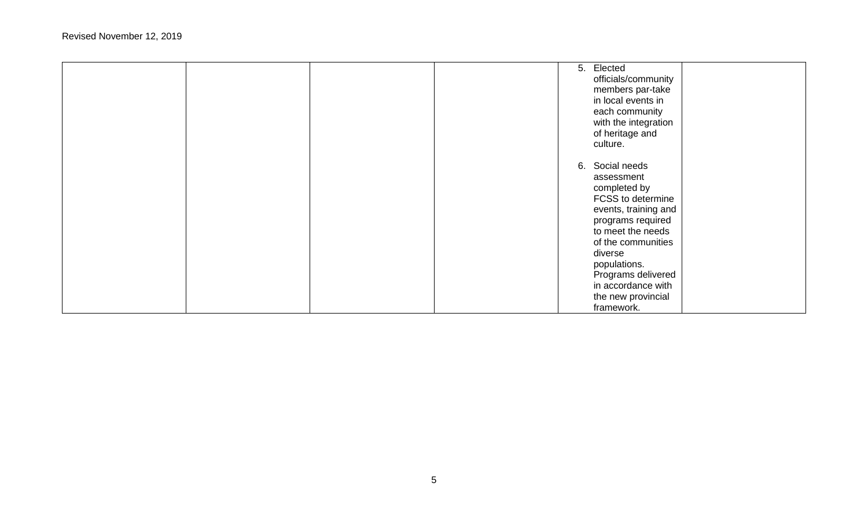|  | 5. Elected<br>officials/community<br>members par-take<br>in local events in<br>each community<br>with the integration<br>of heritage and<br>culture.                                                                                                                  |
|--|-----------------------------------------------------------------------------------------------------------------------------------------------------------------------------------------------------------------------------------------------------------------------|
|  | 6. Social needs<br>assessment<br>completed by<br>FCSS to determine<br>events, training and<br>programs required<br>to meet the needs<br>of the communities<br>diverse<br>populations.<br>Programs delivered<br>in accordance with<br>the new provincial<br>framework. |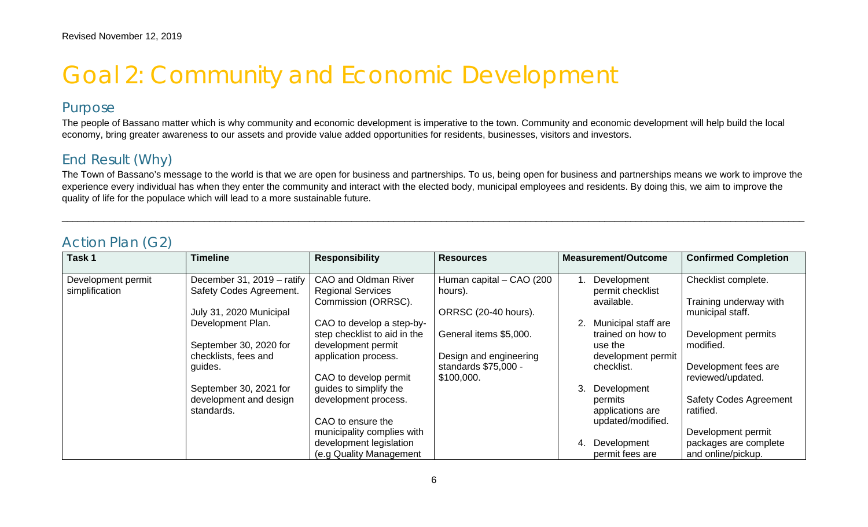## Goal 2: Community and Economic Development

#### Purpose

The people of Bassano matter which is why community and economic development is imperative to the town. Community and economic development will help build the local economy, bring greater awareness to our assets and provide value added opportunities for residents, businesses, visitors and investors.

#### End Result (Why)

The Town of Bassano's message to the world is that we are open for business and partnerships. To us, being open for business and partnerships means we work to improve the experience every individual has when they enter the community and interact with the elected body, municipal employees and residents. By doing this, we aim to improve the quality of life for the populace which will lead to a more sustainable future.

\_\_\_\_\_\_\_\_\_\_\_\_\_\_\_\_\_\_\_\_\_\_\_\_\_\_\_\_\_\_\_\_\_\_\_\_\_\_\_\_\_\_\_\_\_\_\_\_\_\_\_\_\_\_\_\_\_\_\_\_\_\_\_\_\_\_\_\_\_\_\_\_\_\_\_\_\_\_\_\_\_\_\_\_\_\_\_\_\_\_\_\_\_\_\_\_\_\_\_\_\_\_\_\_\_\_\_\_\_\_\_\_\_\_\_\_\_\_\_\_\_\_\_\_\_\_\_\_\_\_\_\_\_\_\_\_\_\_\_\_\_

#### Action Plan (G2)

| Task 1             | <b>Timeline</b>            | <b>Responsibility</b>        | <b>Resources</b>         | <b>Measurement/Outcome</b> | <b>Confirmed Completion</b>   |
|--------------------|----------------------------|------------------------------|--------------------------|----------------------------|-------------------------------|
| Development permit | December 31, 2019 - ratify | CAO and Oldman River         | Human capital - CAO (200 | Development                | Checklist complete.           |
| simplification     | Safety Codes Agreement.    | <b>Regional Services</b>     | hours).                  | permit checklist           |                               |
|                    |                            | Commission (ORRSC).          |                          | available.                 | Training underway with        |
|                    | July 31, 2020 Municipal    |                              | ORRSC (20-40 hours).     |                            | municipal staff.              |
|                    | Development Plan.          | CAO to develop a step-by-    |                          | Municipal staff are        |                               |
|                    |                            | step checklist to aid in the | General items \$5,000.   | trained on how to          | Development permits           |
|                    | September 30, 2020 for     | development permit           |                          | use the                    | modified.                     |
|                    | checklists, fees and       | application process.         | Design and engineering   | development permit         |                               |
|                    | guides.                    |                              | standards \$75,000 -     | checklist.                 | Development fees are          |
|                    |                            | CAO to develop permit        | \$100,000.               |                            | reviewed/updated.             |
|                    | September 30, 2021 for     | guides to simplify the       |                          | 3.<br>Development          |                               |
|                    | development and design     | development process.         |                          | permits                    | <b>Safety Codes Agreement</b> |
|                    | standards.                 |                              |                          | applications are           | ratified.                     |
|                    |                            | CAO to ensure the            |                          | updated/modified.          |                               |
|                    |                            | municipality complies with   |                          |                            | Development permit            |
|                    |                            | development legislation      |                          | Development<br>4.          | packages are complete         |
|                    |                            | (e.g Quality Management      |                          | permit fees are            | and online/pickup.            |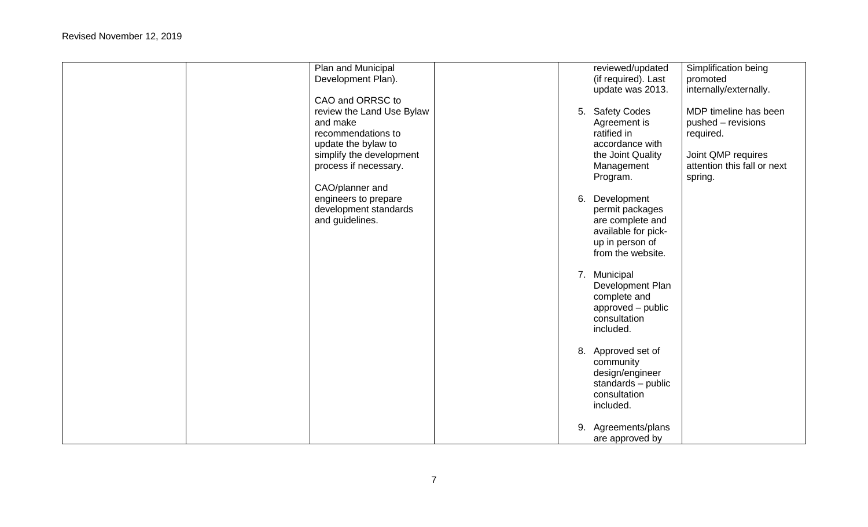| Plan and Municipal        |    | reviewed/updated    | Simplification being        |
|---------------------------|----|---------------------|-----------------------------|
| Development Plan).        |    | (if required). Last | promoted                    |
|                           |    | update was 2013.    | internally/externally.      |
| CAO and ORRSC to          |    |                     |                             |
| review the Land Use Bylaw |    | 5. Safety Codes     | MDP timeline has been       |
| and make                  |    | Agreement is        | pushed - revisions          |
| recommendations to        |    | ratified in         | required.                   |
| update the bylaw to       |    | accordance with     |                             |
| simplify the development  |    | the Joint Quality   | Joint QMP requires          |
| process if necessary.     |    | Management          | attention this fall or next |
|                           |    | Program.            | spring.                     |
| CAO/planner and           |    |                     |                             |
| engineers to prepare      |    | 6. Development      |                             |
| development standards     |    | permit packages     |                             |
| and guidelines.           |    | are complete and    |                             |
|                           |    | available for pick- |                             |
|                           |    | up in person of     |                             |
|                           |    | from the website.   |                             |
|                           |    |                     |                             |
|                           |    | 7. Municipal        |                             |
|                           |    | Development Plan    |                             |
|                           |    | complete and        |                             |
|                           |    | approved - public   |                             |
|                           |    | consultation        |                             |
|                           |    | included.           |                             |
|                           |    |                     |                             |
|                           |    | 8. Approved set of  |                             |
|                           |    | community           |                             |
|                           |    | design/engineer     |                             |
|                           |    | standards - public  |                             |
|                           |    | consultation        |                             |
|                           |    | included.           |                             |
|                           |    |                     |                             |
|                           | 9. | Agreements/plans    |                             |
|                           |    | are approved by     |                             |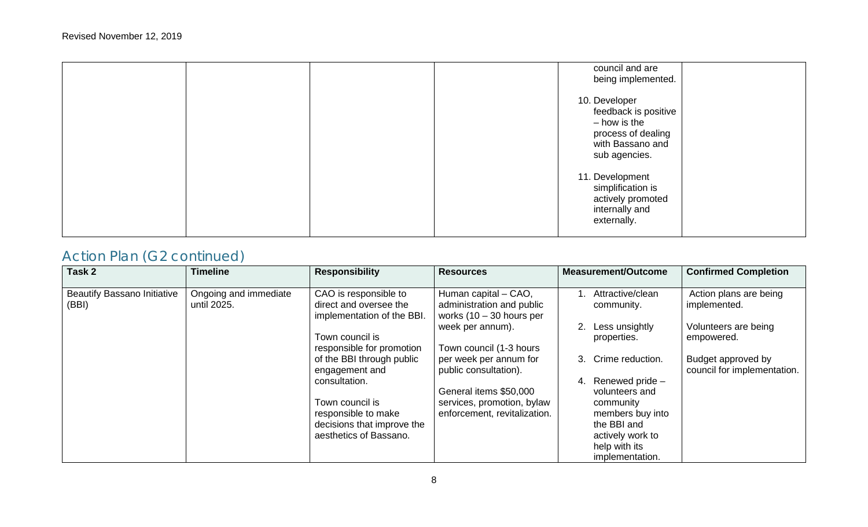| council and are<br>being implemented.                                                                            |  |
|------------------------------------------------------------------------------------------------------------------|--|
| 10. Developer<br>feedback is positive<br>- how is the<br>process of dealing<br>with Bassano and<br>sub agencies. |  |
| 11. Development<br>simplification is<br>actively promoted<br>internally and<br>externally.                       |  |

| Task 2                                      | <b>Timeline</b>                      | <b>Responsibility</b>                                                         | <b>Resources</b>                                                                | <b>Measurement/Outcome</b>                           | <b>Confirmed Completion</b>                       |
|---------------------------------------------|--------------------------------------|-------------------------------------------------------------------------------|---------------------------------------------------------------------------------|------------------------------------------------------|---------------------------------------------------|
| <b>Beautify Bassano Initiative</b><br>(BBI) | Ongoing and immediate<br>until 2025. | CAO is responsible to<br>direct and oversee the<br>implementation of the BBI. | Human capital - CAO,<br>administration and public<br>works $(10 - 30$ hours per | Attractive/clean<br>community.                       | Action plans are being<br>implemented.            |
|                                             |                                      | Town council is<br>responsible for promotion                                  | week per annum).<br>Town council (1-3 hours                                     | Less unsightly<br>properties.                        | Volunteers are being<br>empowered.                |
|                                             |                                      | of the BBI through public<br>engagement and                                   | per week per annum for<br>public consultation).                                 | Crime reduction.<br>3.                               | Budget approved by<br>council for implementation. |
|                                             |                                      | consultation.                                                                 | General items \$50,000                                                          | Renewed pride -<br>volunteers and                    |                                                   |
|                                             |                                      | Town council is<br>responsible to make<br>decisions that improve the          | services, promotion, bylaw<br>enforcement, revitalization.                      | community<br>members buy into<br>the BBI and         |                                                   |
|                                             |                                      | aesthetics of Bassano.                                                        |                                                                                 | actively work to<br>help with its<br>implementation. |                                                   |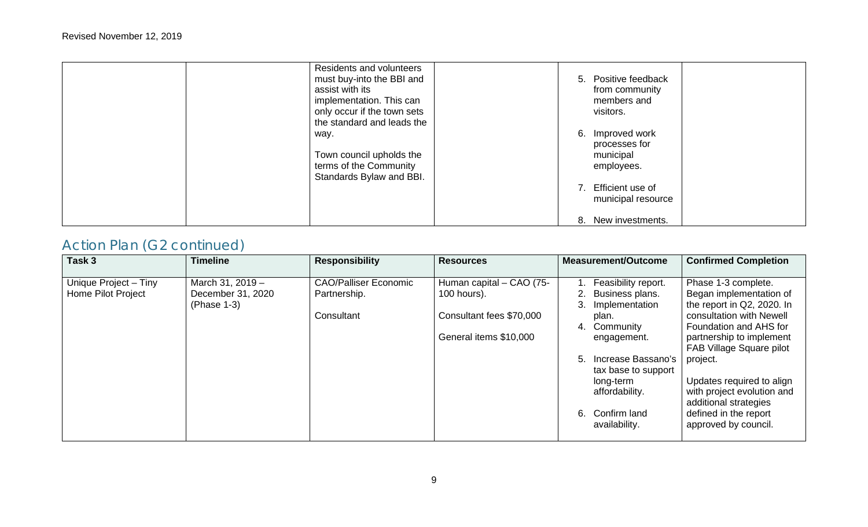| Residents and volunteers<br>must buy-into the BBI and<br>assist with its<br>implementation. This can<br>only occur if the town sets<br>the standard and leads the | 5. Positive feedback<br>from community<br>members and<br>visitors.                                                               |
|-------------------------------------------------------------------------------------------------------------------------------------------------------------------|----------------------------------------------------------------------------------------------------------------------------------|
| way.<br>Town council upholds the<br>terms of the Community<br>Standards Bylaw and BBI.                                                                            | 6. Improved work<br>processes for<br>municipal<br>employees.<br>7. Efficient use of<br>municipal resource<br>8. New investments. |

| Task 3                                             | <b>Timeline</b>                                      | <b>Responsibility</b>                                      | <b>Resources</b>                                                                              | Measurement/Outcome                                                                                                                                                                                                             | <b>Confirmed Completion</b>                                                                                                                                                                                                                                                                                                                 |
|----------------------------------------------------|------------------------------------------------------|------------------------------------------------------------|-----------------------------------------------------------------------------------------------|---------------------------------------------------------------------------------------------------------------------------------------------------------------------------------------------------------------------------------|---------------------------------------------------------------------------------------------------------------------------------------------------------------------------------------------------------------------------------------------------------------------------------------------------------------------------------------------|
| Unique Project - Tiny<br><b>Home Pilot Project</b> | March 31, 2019 -<br>December 31, 2020<br>(Phase 1-3) | <b>CAO/Palliser Economic</b><br>Partnership.<br>Consultant | Human capital - CAO (75-<br>100 hours).<br>Consultant fees \$70,000<br>General items \$10,000 | Feasibility report.<br>Business plans.<br>Implementation<br>3.<br>plan.<br>Community<br>4.<br>engagement.<br>Increase Bassano's<br>5.<br>tax base to support<br>long-term<br>affordability.<br>6. Confirm land<br>availability. | Phase 1-3 complete.<br>Began implementation of<br>the report in Q2, 2020. In<br>consultation with Newell<br>Foundation and AHS for<br>partnership to implement<br>FAB Village Square pilot<br>project.<br>Updates required to align<br>with project evolution and<br>additional strategies<br>defined in the report<br>approved by council. |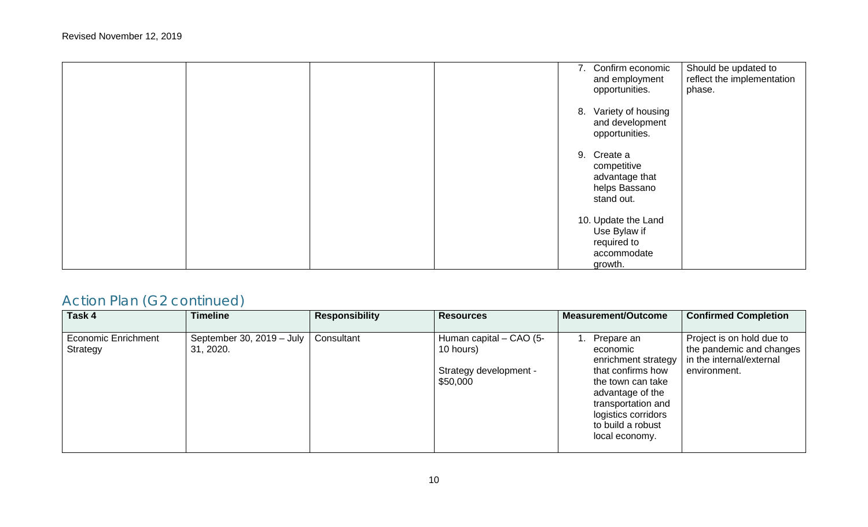|  | 7. Confirm economic<br>Should be updated to<br>reflect the implementation<br>and employment<br>opportunities.<br>phase. |
|--|-------------------------------------------------------------------------------------------------------------------------|
|  | 8. Variety of housing<br>and development<br>opportunities.                                                              |
|  | 9. Create a<br>competitive<br>advantage that<br>helps Bassano<br>stand out.                                             |
|  | 10. Update the Land<br>Use Bylaw if<br>required to<br>accommodate<br>growth.                                            |

| Task 4                                 | <b>Timeline</b>                                | <b>Responsibility</b> | <b>Resources</b>                                                           | <b>Measurement/Outcome</b>                                                                                                                                                                         | <b>Confirmed Completion</b>                                                                       |
|----------------------------------------|------------------------------------------------|-----------------------|----------------------------------------------------------------------------|----------------------------------------------------------------------------------------------------------------------------------------------------------------------------------------------------|---------------------------------------------------------------------------------------------------|
| <b>Economic Enrichment</b><br>Strategy | September 30, 2019 – July $\vert$<br>31, 2020. | Consultant            | Human capital – CAO (5-<br>10 hours)<br>Strategy development -<br>\$50,000 | 1. Prepare an<br>economic<br>enrichment strategy<br>that confirms how<br>the town can take<br>advantage of the<br>transportation and<br>logistics corridors<br>to build a robust<br>local economy. | Project is on hold due to<br>the pandemic and changes<br>in the internal/external<br>environment. |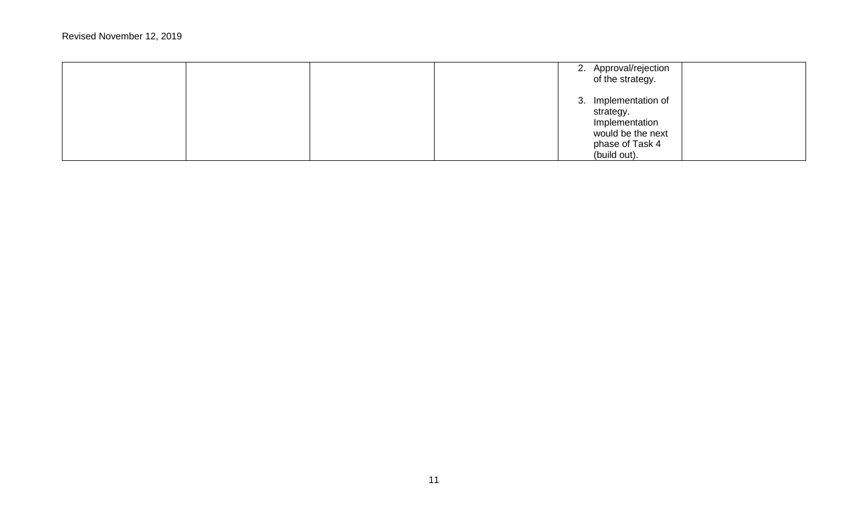|  | 2. Approval/rejection<br>of the strategy.                                                                   |  |
|--|-------------------------------------------------------------------------------------------------------------|--|
|  | 3. Implementation of<br>strategy.<br>Implementation<br>would be the next<br>phase of Task 4<br>(build out). |  |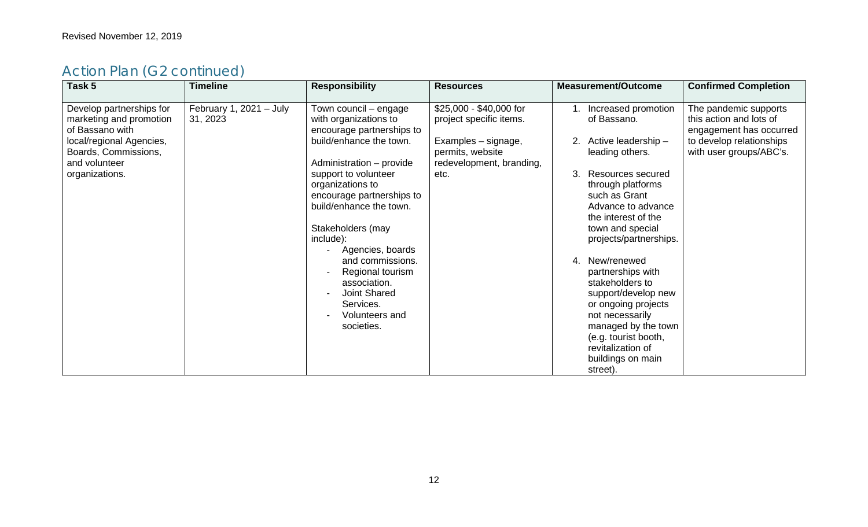| Task 5                                                                                             | <b>Timeline</b>                       | <b>Responsibility</b>                                                                                                                                                                                                                                                       | <b>Resources</b>                                                          | <b>Measurement/Outcome</b>                                                                                                                                                                                                                                                                                                                                                               | <b>Confirmed Completion</b>                                                                             |
|----------------------------------------------------------------------------------------------------|---------------------------------------|-----------------------------------------------------------------------------------------------------------------------------------------------------------------------------------------------------------------------------------------------------------------------------|---------------------------------------------------------------------------|------------------------------------------------------------------------------------------------------------------------------------------------------------------------------------------------------------------------------------------------------------------------------------------------------------------------------------------------------------------------------------------|---------------------------------------------------------------------------------------------------------|
| Develop partnerships for<br>marketing and promotion<br>of Bassano with<br>local/regional Agencies, | February 1, $2021 - July$<br>31, 2023 | Town council - engage<br>with organizations to<br>encourage partnerships to<br>build/enhance the town.                                                                                                                                                                      | \$25,000 - \$40,000 for<br>project specific items.<br>Examples - signage, | Increased promotion<br>of Bassano.<br>Active leadership -                                                                                                                                                                                                                                                                                                                                | The pandemic supports<br>this action and lots of<br>engagement has occurred<br>to develop relationships |
| Boards, Commissions,<br>and volunteer                                                              |                                       | Administration - provide                                                                                                                                                                                                                                                    | permits, website<br>redevelopment, branding,                              | leading others.                                                                                                                                                                                                                                                                                                                                                                          | with user groups/ABC's.                                                                                 |
| organizations.                                                                                     |                                       | support to volunteer<br>organizations to<br>encourage partnerships to<br>build/enhance the town.<br>Stakeholders (may<br>include):<br>Agencies, boards<br>and commissions.<br>Regional tourism<br>association.<br>Joint Shared<br>Services.<br>Volunteers and<br>societies. | etc.                                                                      | Resources secured<br>3.<br>through platforms<br>such as Grant<br>Advance to advance<br>the interest of the<br>town and special<br>projects/partnerships.<br>4. New/renewed<br>partnerships with<br>stakeholders to<br>support/develop new<br>or ongoing projects<br>not necessarily<br>managed by the town<br>(e.g. tourist booth,<br>revitalization of<br>buildings on main<br>street). |                                                                                                         |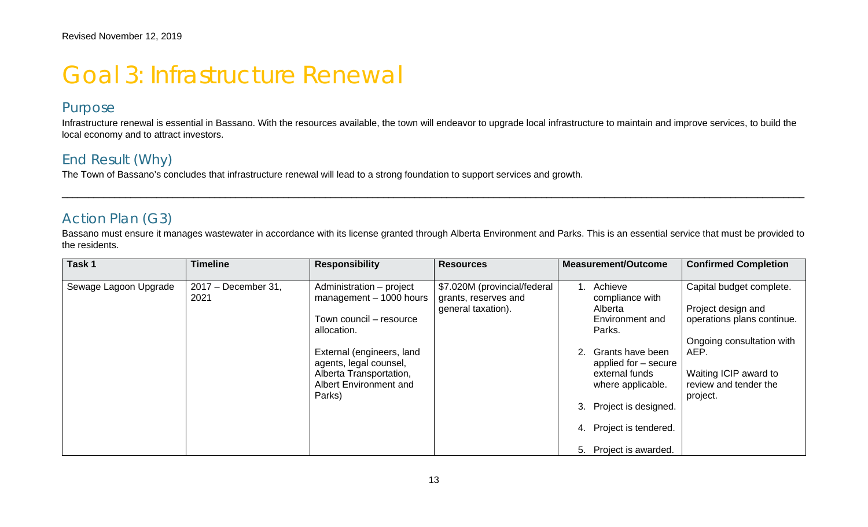## Goal 3: Infrastructure Renewal

#### Purpose

Infrastructure renewal is essential in Bassano. With the resources available, the town will endeavor to upgrade local infrastructure to maintain and improve services, to build the local economy and to attract investors.

#### End Result (Why)

The Town of Bassano's concludes that infrastructure renewal will lead to a strong foundation to support services and growth.

#### Action Plan (G3)

Bassano must ensure it manages wastewater in accordance with its license granted through Alberta Environment and Parks. This is an essential service that must be provided to the residents.

\_\_\_\_\_\_\_\_\_\_\_\_\_\_\_\_\_\_\_\_\_\_\_\_\_\_\_\_\_\_\_\_\_\_\_\_\_\_\_\_\_\_\_\_\_\_\_\_\_\_\_\_\_\_\_\_\_\_\_\_\_\_\_\_\_\_\_\_\_\_\_\_\_\_\_\_\_\_\_\_\_\_\_\_\_\_\_\_\_\_\_\_\_\_\_\_\_\_\_\_\_\_\_\_\_\_\_\_\_\_\_\_\_\_\_\_\_\_\_\_\_\_\_\_\_\_\_\_\_\_\_\_\_\_\_\_\_\_\_\_\_

| Task 1                | <b>Timeline</b>             | <b>Responsibility</b>                                                                                                                                                                                                    | <b>Resources</b>                                                           | Measurement/Outcome                                                                                                                                                                                                                   | <b>Confirmed Completion</b>                                                                                                                                                     |
|-----------------------|-----------------------------|--------------------------------------------------------------------------------------------------------------------------------------------------------------------------------------------------------------------------|----------------------------------------------------------------------------|---------------------------------------------------------------------------------------------------------------------------------------------------------------------------------------------------------------------------------------|---------------------------------------------------------------------------------------------------------------------------------------------------------------------------------|
| Sewage Lagoon Upgrade | 2017 - December 31,<br>2021 | Administration - project<br>$m$ anagement $-$ 1000 hours<br>Town council - resource<br>allocation.<br>External (engineers, land<br>agents, legal counsel,<br>Alberta Transportation,<br>Albert Environment and<br>Parks) | \$7.020M (provincial/federal<br>grants, reserves and<br>general taxation). | Achieve<br>compliance with<br>Alberta<br>Environment and<br>Parks.<br>Grants have been<br>applied for – secure<br>external funds<br>where applicable.<br>3. Project is designed.<br>4. Project is tendered.<br>5. Project is awarded. | Capital budget complete.<br>Project design and<br>operations plans continue.<br>Ongoing consultation with<br>AEP.<br>Waiting ICIP award to<br>review and tender the<br>project. |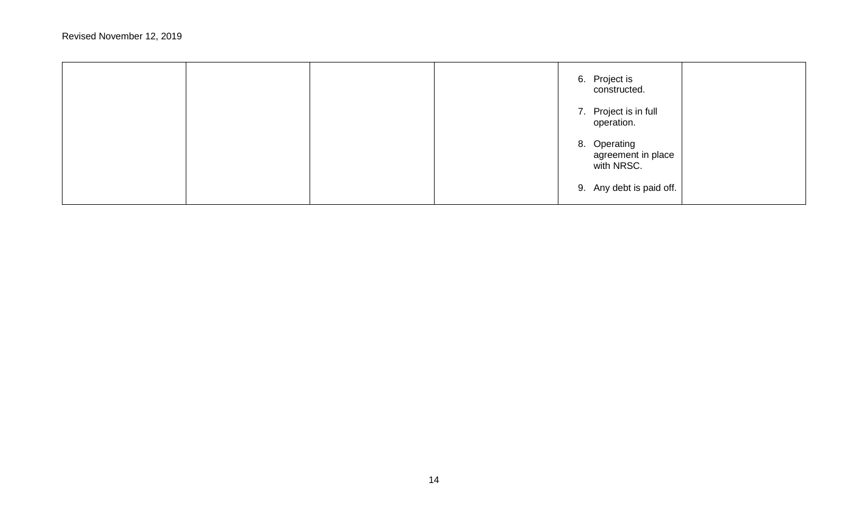|  |  | 6. Project is<br>constructed.                    |  |
|--|--|--------------------------------------------------|--|
|  |  | 7. Project is in full<br>operation.              |  |
|  |  | 8. Operating<br>agreement in place<br>with NRSC. |  |
|  |  | 9. Any debt is paid off.                         |  |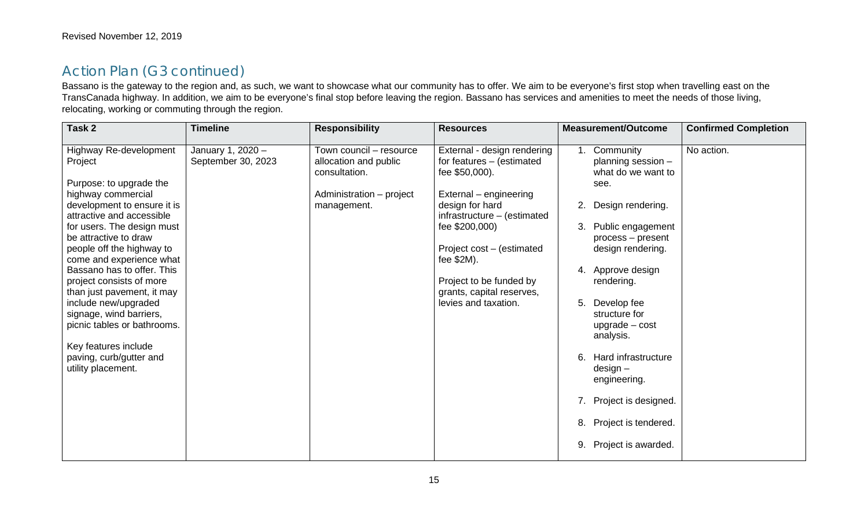Bassano is the gateway to the region and, as such, we want to showcase what our community has to offer. We aim to be everyone's first stop when travelling east on the TransCanada highway. In addition, we aim to be everyone's final stop before leaving the region. Bassano has services and amenities to meet the needs of those living, relocating, working or commuting through the region.

| Task 2                                                                                                                                                                                                                                                                                                                                                                                                                                                                                                            | <b>Timeline</b>                         | <b>Responsibility</b>                                                                                        | <b>Resources</b>                                                                                                                                                                                                                                                                                    | <b>Measurement/Outcome</b>                                                                                                                                                                                                                                                                                                                                                                                  | <b>Confirmed Completion</b> |
|-------------------------------------------------------------------------------------------------------------------------------------------------------------------------------------------------------------------------------------------------------------------------------------------------------------------------------------------------------------------------------------------------------------------------------------------------------------------------------------------------------------------|-----------------------------------------|--------------------------------------------------------------------------------------------------------------|-----------------------------------------------------------------------------------------------------------------------------------------------------------------------------------------------------------------------------------------------------------------------------------------------------|-------------------------------------------------------------------------------------------------------------------------------------------------------------------------------------------------------------------------------------------------------------------------------------------------------------------------------------------------------------------------------------------------------------|-----------------------------|
| Highway Re-development<br>Project<br>Purpose: to upgrade the<br>highway commercial<br>development to ensure it is<br>attractive and accessible<br>for users. The design must<br>be attractive to draw<br>people off the highway to<br>come and experience what<br>Bassano has to offer. This<br>project consists of more<br>than just pavement, it may<br>include new/upgraded<br>signage, wind barriers,<br>picnic tables or bathrooms.<br>Key features include<br>paving, curb/gutter and<br>utility placement. | January 1, 2020 -<br>September 30, 2023 | Town council - resource<br>allocation and public<br>consultation.<br>Administration - project<br>management. | External - design rendering<br>for features - (estimated<br>fee \$50,000).<br>External – engineering<br>design for hard<br>infrastructure - (estimated<br>fee \$200,000)<br>Project cost – (estimated<br>fee \$2M).<br>Project to be funded by<br>grants, capital reserves,<br>levies and taxation. | Community<br>planning session -<br>what do we want to<br>see.<br>Design rendering.<br>2.<br>Public engagement<br>process – present<br>design rendering.<br>4. Approve design<br>rendering.<br>5. Develop fee<br>structure for<br>$update - cost$<br>analysis.<br>Hard infrastructure<br>6.<br>$design -$<br>engineering.<br>7. Project is designed.<br>8. Project is tendered.<br>Project is awarded.<br>9. | No action.                  |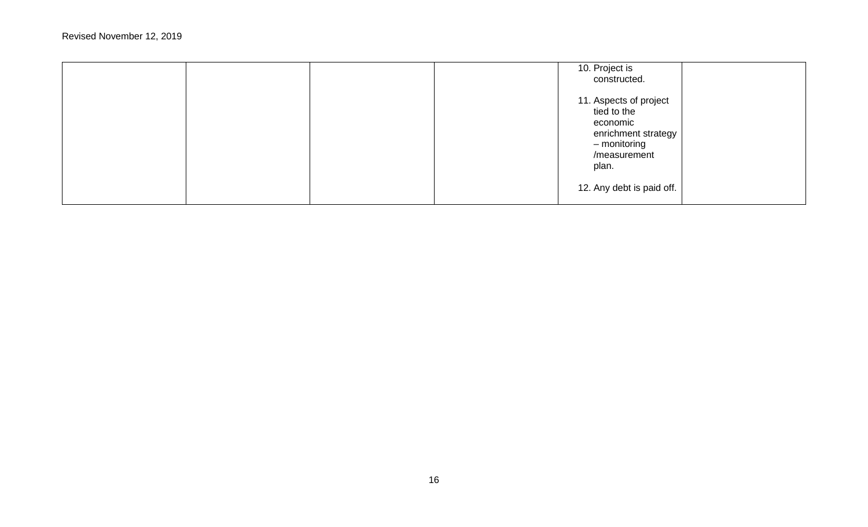|  |  | 10. Project is<br>constructed.                                                                                    |  |
|--|--|-------------------------------------------------------------------------------------------------------------------|--|
|  |  | 11. Aspects of project<br>tied to the<br>economic<br>enrichment strategy<br>- monitoring<br>/measurement<br>plan. |  |
|  |  | 12. Any debt is paid off.                                                                                         |  |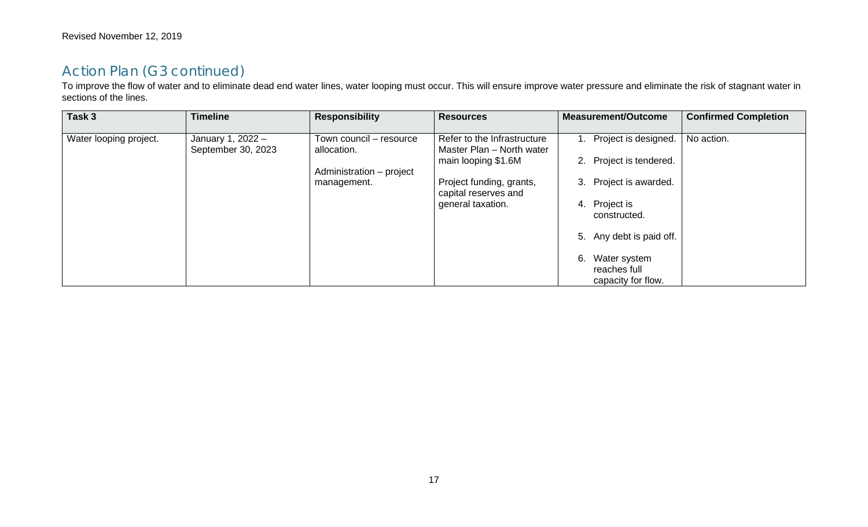To improve the flow of water and to eliminate dead end water lines, water looping must occur. This will ensure improve water pressure and eliminate the risk of stagnant water in sections of the lines.

| Task 3                 | <b>Timeline</b>                         | <b>Responsibility</b>                                                             | <b>Resources</b>                                                                                                                                         | <b>Measurement/Outcome</b>                                                                                                                                                                            | <b>Confirmed Completion</b> |
|------------------------|-----------------------------------------|-----------------------------------------------------------------------------------|----------------------------------------------------------------------------------------------------------------------------------------------------------|-------------------------------------------------------------------------------------------------------------------------------------------------------------------------------------------------------|-----------------------------|
| Water looping project. | January 1, 2022 -<br>September 30, 2023 | Town council - resource<br>allocation.<br>Administration - project<br>management. | Refer to the Infrastructure<br>Master Plan - North water<br>main looping \$1.6M<br>Project funding, grants,<br>capital reserves and<br>general taxation. | 1. Project is designed.<br>2. Project is tendered.<br>3. Project is awarded.<br>4. Project is<br>constructed.<br>5. Any debt is paid off.<br>Water system<br>6.<br>reaches full<br>capacity for flow. | No action.                  |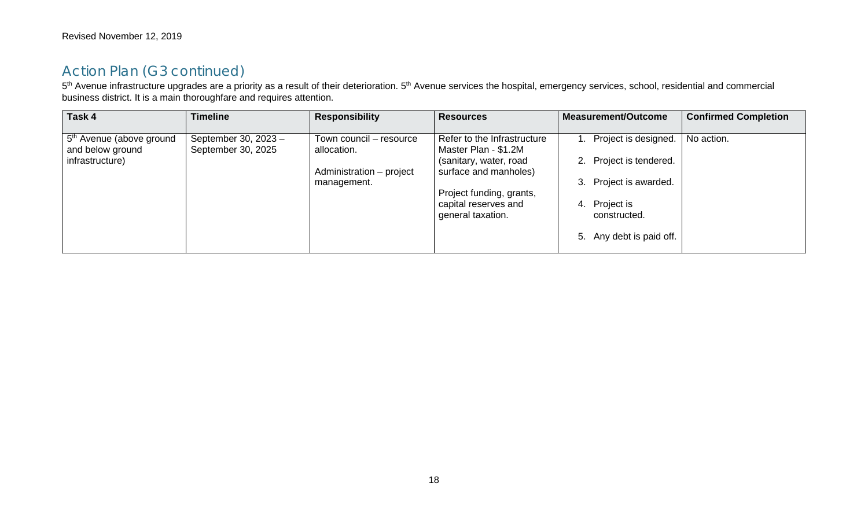5<sup>th</sup> Avenue infrastructure upgrades are a priority as a result of their deterioration. 5<sup>th</sup> Avenue services the hospital, emergency services, school, residential and commercial business district. It is a main thoroughfare and requires attention.

| Task 4                                                   | <b>Timeline</b>                            | <b>Responsibility</b>                  | <b>Resources</b>                                    | <b>Measurement/Outcome</b>    | <b>Confirmed Completion</b> |
|----------------------------------------------------------|--------------------------------------------|----------------------------------------|-----------------------------------------------------|-------------------------------|-----------------------------|
| 5 <sup>th</sup> Avenue (above ground<br>and below ground | September 30, 2023 -<br>September 30, 2025 | Town council - resource<br>allocation. | Refer to the Infrastructure<br>Master Plan - \$1.2M | 1. Project is designed.       | No action.                  |
| infrastructure)                                          |                                            | Administration - project               | (sanitary, water, road<br>surface and manholes)     | 2. Project is tendered.       |                             |
|                                                          |                                            | management.                            | Project funding, grants,                            | 3. Project is awarded.        |                             |
|                                                          |                                            |                                        | capital reserves and<br>general taxation.           | 4. Project is<br>constructed. |                             |
|                                                          |                                            |                                        |                                                     | 5. Any debt is paid off.      |                             |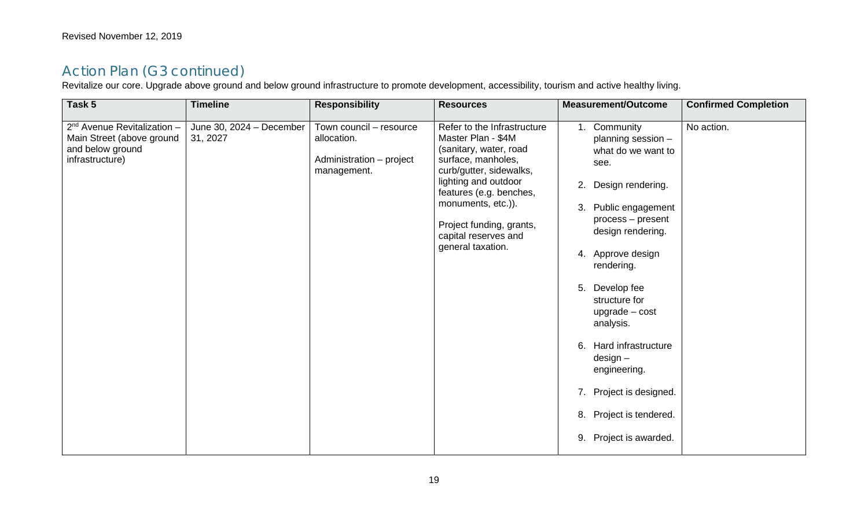Revitalize our core. Upgrade above ground and below ground infrastructure to promote development, accessibility, tourism and active healthy living.

| Task 5                                                                                               | <b>Timeline</b>                      | <b>Responsibility</b>                                                             | <b>Resources</b>                                                                                                                                                                                                                                                               | <b>Measurement/Outcome</b>                                                                                                                                                                                                                                                                                                                                                                                  | <b>Confirmed Completion</b> |
|------------------------------------------------------------------------------------------------------|--------------------------------------|-----------------------------------------------------------------------------------|--------------------------------------------------------------------------------------------------------------------------------------------------------------------------------------------------------------------------------------------------------------------------------|-------------------------------------------------------------------------------------------------------------------------------------------------------------------------------------------------------------------------------------------------------------------------------------------------------------------------------------------------------------------------------------------------------------|-----------------------------|
| $2^{nd}$ Avenue Revitalization -<br>Main Street (above ground<br>and below ground<br>infrastructure) | June 30, 2024 - December<br>31, 2027 | Town council - resource<br>allocation.<br>Administration - project<br>management. | Refer to the Infrastructure<br>Master Plan - \$4M<br>(sanitary, water, road<br>surface, manholes,<br>curb/gutter, sidewalks,<br>lighting and outdoor<br>features (e.g. benches,<br>monuments, etc.)).<br>Project funding, grants,<br>capital reserves and<br>general taxation. | 1. Community<br>planning session -<br>what do we want to<br>see.<br>Design rendering.<br>2.<br>3. Public engagement<br>process - present<br>design rendering.<br>4. Approve design<br>rendering.<br>5. Develop fee<br>structure for<br>$ugrade - cost$<br>analysis.<br>6. Hard infrastructure<br>$design -$<br>engineering.<br>7. Project is designed.<br>8. Project is tendered.<br>9. Project is awarded. | No action.                  |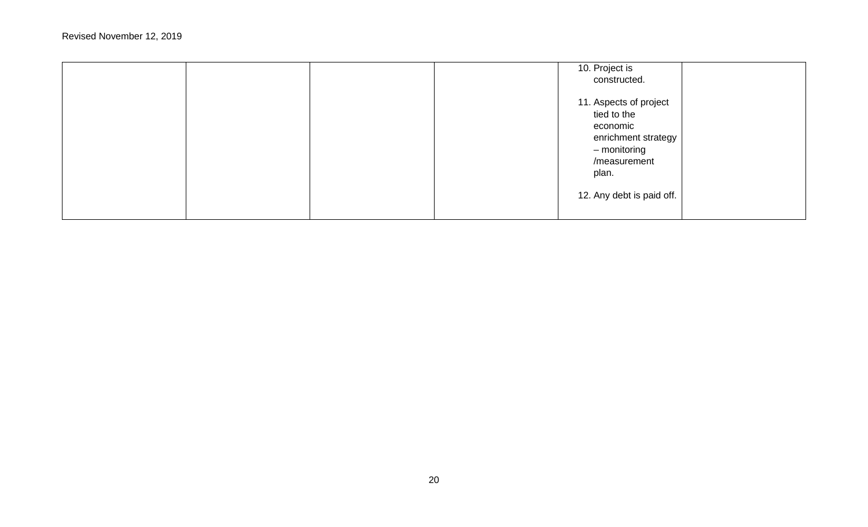|  |  | 10. Project is<br>constructed.                                                                                    |  |
|--|--|-------------------------------------------------------------------------------------------------------------------|--|
|  |  | 11. Aspects of project<br>tied to the<br>economic<br>enrichment strategy<br>- monitoring<br>/measurement<br>plan. |  |
|  |  | 12. Any debt is paid off.                                                                                         |  |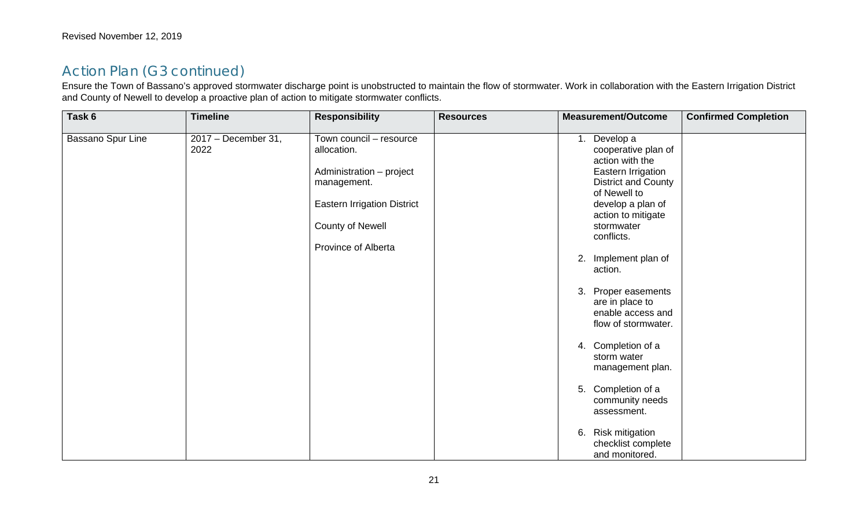Ensure the Town of Bassano's approved stormwater discharge point is unobstructed to maintain the flow of stormwater. Work in collaboration with the Eastern Irrigation District and County of Newell to develop a proactive plan of action to mitigate stormwater conflicts.

| Task 6            | <b>Timeline</b>             | <b>Responsibility</b>                                                                                                                                              | <b>Resources</b> | <b>Measurement/Outcome</b>                                                                                                                                                                                                                                                                                                                                                                                                                                                           | <b>Confirmed Completion</b> |
|-------------------|-----------------------------|--------------------------------------------------------------------------------------------------------------------------------------------------------------------|------------------|--------------------------------------------------------------------------------------------------------------------------------------------------------------------------------------------------------------------------------------------------------------------------------------------------------------------------------------------------------------------------------------------------------------------------------------------------------------------------------------|-----------------------------|
| Bassano Spur Line | 2017 - December 31,<br>2022 | Town council - resource<br>allocation.<br>Administration - project<br>management.<br><b>Eastern Irrigation District</b><br>County of Newell<br>Province of Alberta |                  | Develop a<br>cooperative plan of<br>action with the<br>Eastern Irrigation<br><b>District and County</b><br>of Newell to<br>develop a plan of<br>action to mitigate<br>stormwater<br>conflicts.<br>2. Implement plan of<br>action.<br>3. Proper easements<br>are in place to<br>enable access and<br>flow of stormwater.<br>4. Completion of a<br>storm water<br>management plan.<br>5. Completion of a<br>community needs<br>assessment.<br>6. Risk mitigation<br>checklist complete |                             |
|                   |                             |                                                                                                                                                                    |                  | and monitored.                                                                                                                                                                                                                                                                                                                                                                                                                                                                       |                             |